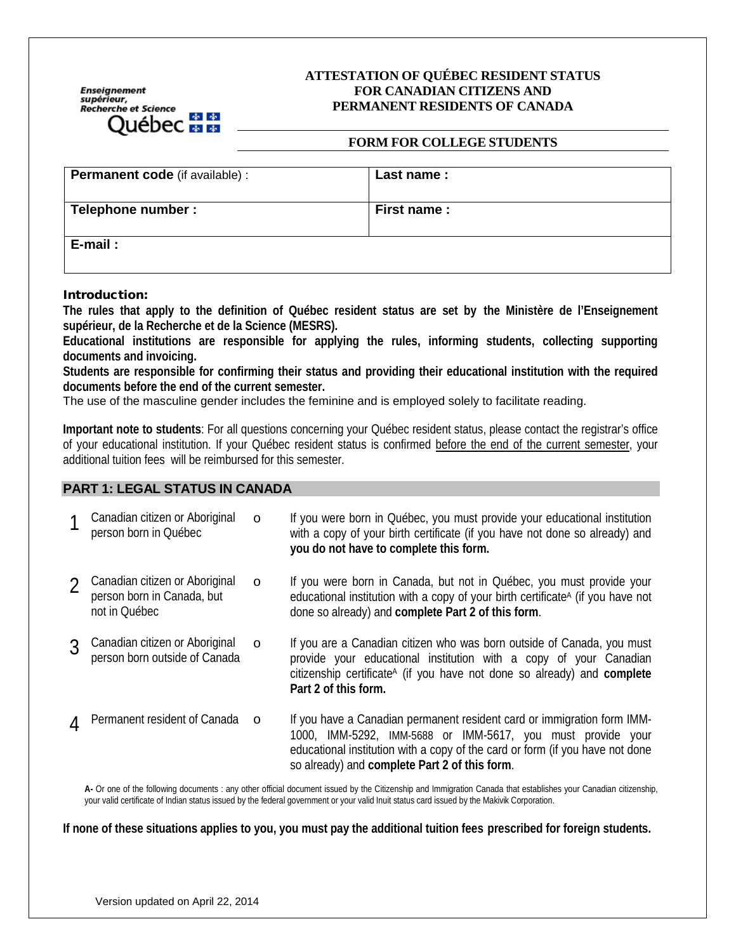Enseignement<br>supérieur,<br>Recherche et Science de de 

#### **ATTESTATION OF QUÉBEC RESIDENT STATUS FOR CANADIAN CITIZENS AND PERMANENT RESIDENTS OF CANADA**

#### **FORM FOR COLLEGE STUDENTS**

| <b>Permanent code</b> (if available) : | Last name : |
|----------------------------------------|-------------|
| Telephone number :                     | First name: |
| E-mail:                                |             |

#### Introduction:

**The rules that apply to the definition of Québec resident status are set by the Ministère de l'Enseignement supérieur, de la Recherche et de la Science (MESRS).**

**Educational institutions are responsible for applying the rules, informing students, collecting supporting documents and invoicing.**

**Students are responsible for confirming their status and providing their educational institution with the required documents before the end of the current semester.** 

The use of the masculine gender includes the feminine and is employed solely to facilitate reading.

**Important note to students**: For all questions concerning your Québec resident status, please contact the registrar's office of your educational institution. If your Québec resident status is confirmed before the end of the current semester, your additional tuition fees will be reimbursed for this semester.

#### **PART 1: LEGAL STATUS IN CANADA**

|                | Canadian citizen or Aboriginal<br>person born in Québec                       | O        | If you were born in Québec, you must provide your educational institution<br>with a copy of your birth certificate (if you have not done so already) and<br>you do not have to complete this form.                                                                       |
|----------------|-------------------------------------------------------------------------------|----------|--------------------------------------------------------------------------------------------------------------------------------------------------------------------------------------------------------------------------------------------------------------------------|
|                | Canadian citizen or Aboriginal<br>person born in Canada, but<br>not in Québec | O        | If you were born in Canada, but not in Québec, you must provide your<br>educational institution with a copy of your birth certificate <sup>A</sup> (if you have not<br>done so already) and complete Part 2 of this form.                                                |
|                | Canadian citizen or Aboriginal<br>person born outside of Canada               | $\circ$  | If you are a Canadian citizen who was born outside of Canada, you must<br>provide your educational institution with a copy of your Canadian<br>citizenship certificate <sup>A</sup> (if you have not done so already) and complete<br>Part 2 of this form.               |
| $\overline{4}$ | Permanent resident of Canada                                                  | $\Omega$ | If you have a Canadian permanent resident card or immigration form IMM-<br>1000, IMM-5292, IMM-5688 or IMM-5617, you must provide your<br>educational institution with a copy of the card or form (if you have not done<br>so already) and complete Part 2 of this form. |

**A-** Or one of the following documents : any other official document issued by the Citizenship and Immigration Canada that establishes your Canadian citizenship, your valid certificate of Indian status issued by the federal government or your valid Inuit status card issued by the Makivik Corporation.

**If none of these situations applies to you, you must pay the additional tuition fees prescribed for foreign students.**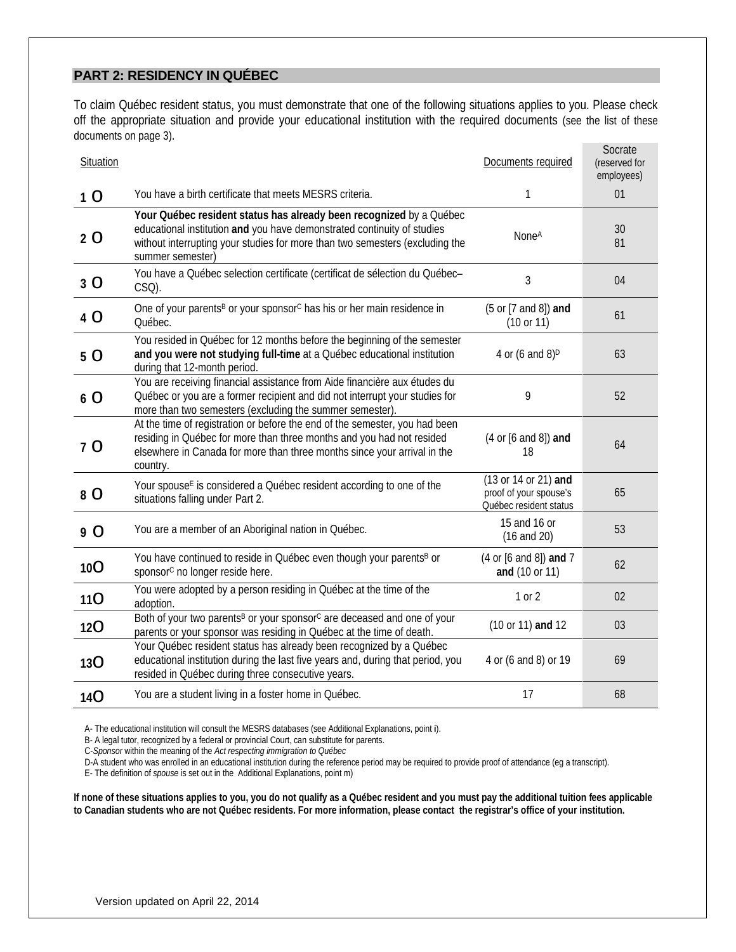## **PART 2: RESIDENCY IN QUÉBEC**

To claim Québec resident status, you must demonstrate that one of the following situations applies to you. Please check off the appropriate situation and provide your educational institution with the required documents (see the list of these documents on page 3).

| Situation      |                                                                                                                                                                                                                                                    | Documents required                                                       | Socrate<br>(reserved for<br>employees) |
|----------------|----------------------------------------------------------------------------------------------------------------------------------------------------------------------------------------------------------------------------------------------------|--------------------------------------------------------------------------|----------------------------------------|
| 1 <sub>O</sub> | You have a birth certificate that meets MESRS criteria.                                                                                                                                                                                            | 1                                                                        | 01                                     |
| 2 <sub>O</sub> | Your Québec resident status has already been recognized by a Québec<br>educational institution and you have demonstrated continuity of studies<br>without interrupting your studies for more than two semesters (excluding the<br>summer semester) | <b>NoneA</b>                                                             | 30<br>81                               |
| 3 O            | You have a Québec selection certificate (certificat de sélection du Québec-<br>CSQ).                                                                                                                                                               | $\mathfrak{Z}$                                                           | 04                                     |
| 4 O            | One of your parents <sup>B</sup> or your sponsor <sup>c</sup> has his or her main residence in<br>Québec.                                                                                                                                          | (5 or [7 and 8]) and<br>(10 or 11)                                       | 61                                     |
| 5 O            | You resided in Québec for 12 months before the beginning of the semester<br>and you were not studying full-time at a Québec educational institution<br>during that 12-month period.                                                                | 4 or (6 and 8) <sup>D</sup>                                              | 63                                     |
| 6 O            | You are receiving financial assistance from Aide financière aux études du<br>Québec or you are a former recipient and did not interrupt your studies for<br>more than two semesters (excluding the summer semester).                               | 9                                                                        | 52                                     |
| 7 O            | At the time of registration or before the end of the semester, you had been<br>residing in Québec for more than three months and you had not resided<br>elsewhere in Canada for more than three months since your arrival in the<br>country.       | (4 or [6 and 8]) and<br>18                                               | 64                                     |
| 8 O            | Your spouse <sup>E</sup> is considered a Québec resident according to one of the<br>situations falling under Part 2.                                                                                                                               | (13 or 14 or 21) and<br>proof of your spouse's<br>Québec resident status | 65                                     |
| 9 O            | You are a member of an Aboriginal nation in Québec.                                                                                                                                                                                                | 15 and 16 or<br>$(16$ and $20)$                                          | 53                                     |
| 10O            | You have continued to reside in Québec even though your parents <sup>B</sup> or<br>sponsor <sup>c</sup> no longer reside here.                                                                                                                     | (4 or [6 and 8]) and 7<br>and (10 or 11)                                 | 62                                     |
| 11 <b>O</b>    | You were adopted by a person residing in Québec at the time of the<br>adoption.                                                                                                                                                                    | 1 or 2                                                                   | 02                                     |
| 12O            | Both of your two parents <sup>B</sup> or your sponsor <sup>c</sup> are deceased and one of your<br>parents or your sponsor was residing in Québec at the time of death.                                                                            | (10 or 11) and 12                                                        | 03                                     |
| 13O            | Your Québec resident status has already been recognized by a Québec<br>educational institution during the last five years and, during that period, you<br>resided in Québec during three consecutive years.                                        | 4 or (6 and 8) or 19                                                     | 69                                     |
| 14O            | You are a student living in a foster home in Québec.                                                                                                                                                                                               | 17                                                                       | 68                                     |

A- The educational institution will consult the MESRS databases (see Additional Explanations, point **i**).

B- A legal tutor, recognized by a federal or provincial Court, can substitute for parents.

C-*Sponsor* within the meaning of the *Act respecting immigration to Québec*

D-A student who was enrolled in an educational institution during the reference period may be required to provide proof of attendance (eg a transcript).

E- The definition of *spouse* is set out in the Additional Explanations, point m)

**If none of these situations applies to you, you do not qualify as a Québec resident and you must pay the additional tuition fees applicable to Canadian students who are not Québec residents. For more information, please contact the registrar's office of your institution.**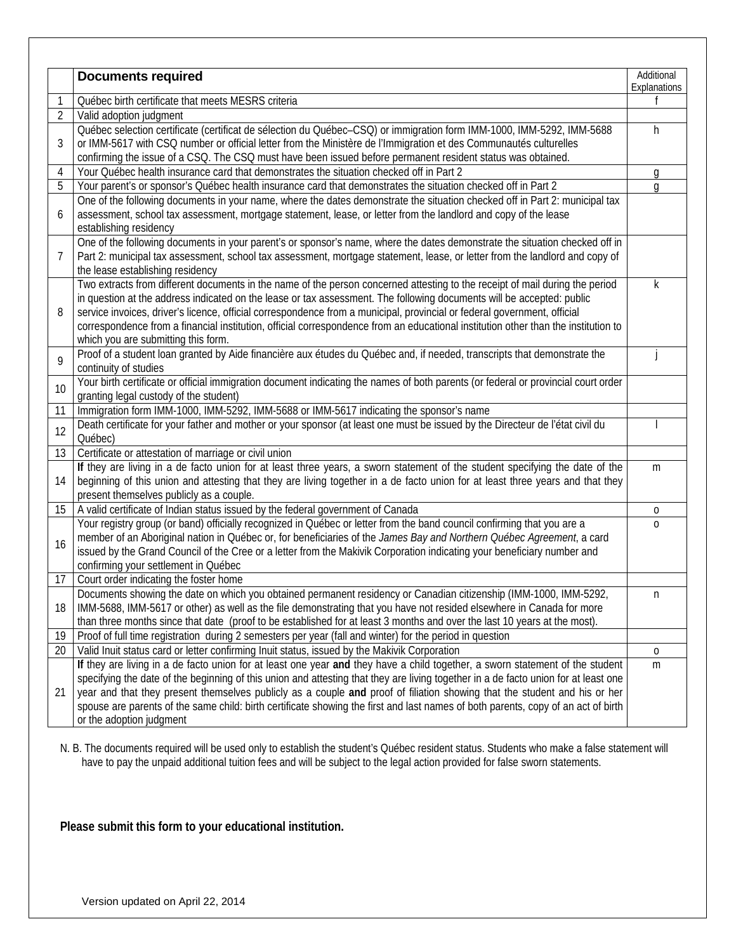|    | <b>Documents required</b>                                                                                                                                                                                                                                                                                                                                                                                                                                                                                                                                          | Additional<br>Explanations |  |  |  |
|----|--------------------------------------------------------------------------------------------------------------------------------------------------------------------------------------------------------------------------------------------------------------------------------------------------------------------------------------------------------------------------------------------------------------------------------------------------------------------------------------------------------------------------------------------------------------------|----------------------------|--|--|--|
|    | Québec birth certificate that meets MESRS criteria                                                                                                                                                                                                                                                                                                                                                                                                                                                                                                                 | f                          |  |  |  |
| 2  | Valid adoption judgment                                                                                                                                                                                                                                                                                                                                                                                                                                                                                                                                            |                            |  |  |  |
| 3  | Québec selection certificate (certificat de sélection du Québec-CSQ) or immigration form IMM-1000, IMM-5292, IMM-5688<br>or IMM-5617 with CSQ number or official letter from the Ministère de l'Immigration et des Communautés culturelles<br>confirming the issue of a CSQ. The CSQ must have been issued before permanent resident status was obtained.                                                                                                                                                                                                          |                            |  |  |  |
| 4  | Your Québec health insurance card that demonstrates the situation checked off in Part 2                                                                                                                                                                                                                                                                                                                                                                                                                                                                            | g                          |  |  |  |
| 5  | Your parent's or sponsor's Québec health insurance card that demonstrates the situation checked off in Part 2                                                                                                                                                                                                                                                                                                                                                                                                                                                      |                            |  |  |  |
| 6  | One of the following documents in your name, where the dates demonstrate the situation checked off in Part 2: municipal tax<br>assessment, school tax assessment, mortgage statement, lease, or letter from the landlord and copy of the lease<br>establishing residency                                                                                                                                                                                                                                                                                           |                            |  |  |  |
| 7  | One of the following documents in your parent's or sponsor's name, where the dates demonstrate the situation checked off in<br>Part 2: municipal tax assessment, school tax assessment, mortgage statement, lease, or letter from the landlord and copy of<br>the lease establishing residency                                                                                                                                                                                                                                                                     |                            |  |  |  |
| 8  | Two extracts from different documents in the name of the person concerned attesting to the receipt of mail during the period<br>in question at the address indicated on the lease or tax assessment. The following documents will be accepted: public<br>service invoices, driver's licence, official correspondence from a municipal, provincial or federal government, official<br>correspondence from a financial institution, official correspondence from an educational institution other than the institution to<br>which you are submitting this form.     | k                          |  |  |  |
| 9  | Proof of a student loan granted by Aide financière aux études du Québec and, if needed, transcripts that demonstrate the<br>continuity of studies                                                                                                                                                                                                                                                                                                                                                                                                                  |                            |  |  |  |
| 10 | Your birth certificate or official immigration document indicating the names of both parents (or federal or provincial court order<br>granting legal custody of the student)                                                                                                                                                                                                                                                                                                                                                                                       |                            |  |  |  |
| 11 | Immigration form IMM-1000, IMM-5292, IMM-5688 or IMM-5617 indicating the sponsor's name                                                                                                                                                                                                                                                                                                                                                                                                                                                                            |                            |  |  |  |
| 12 | Death certificate for your father and mother or your sponsor (at least one must be issued by the Directeur de l'état civil du<br>Québec)                                                                                                                                                                                                                                                                                                                                                                                                                           |                            |  |  |  |
| 13 | Certificate or attestation of marriage or civil union                                                                                                                                                                                                                                                                                                                                                                                                                                                                                                              |                            |  |  |  |
| 14 | If they are living in a de facto union for at least three years, a sworn statement of the student specifying the date of the<br>beginning of this union and attesting that they are living together in a de facto union for at least three years and that they<br>present themselves publicly as a couple.                                                                                                                                                                                                                                                         | m                          |  |  |  |
| 15 | A valid certificate of Indian status issued by the federal government of Canada                                                                                                                                                                                                                                                                                                                                                                                                                                                                                    | 0                          |  |  |  |
| 16 | Your registry group (or band) officially recognized in Québec or letter from the band council confirming that you are a<br>member of an Aboriginal nation in Québec or, for beneficiaries of the James Bay and Northern Québec Agreement, a card<br>issued by the Grand Council of the Cree or a letter from the Makivik Corporation indicating your beneficiary number and<br>confirming your settlement in Québec                                                                                                                                                | $\Omega$                   |  |  |  |
| 17 | Court order indicating the foster home                                                                                                                                                                                                                                                                                                                                                                                                                                                                                                                             |                            |  |  |  |
| 18 | Documents showing the date on which you obtained permanent residency or Canadian citizenship (IMM-1000, IMM-5292,<br>IMM-5688, IMM-5617 or other) as well as the file demonstrating that you have not resided elsewhere in Canada for more<br>than three months since that date (proof to be established for at least 3 months and over the last 10 years at the most).                                                                                                                                                                                            | H.                         |  |  |  |
| 19 | Proof of full time registration during 2 semesters per year (fall and winter) for the period in question                                                                                                                                                                                                                                                                                                                                                                                                                                                           |                            |  |  |  |
| 20 | Valid Inuit status card or letter confirming Inuit status, issued by the Makivik Corporation                                                                                                                                                                                                                                                                                                                                                                                                                                                                       | 0                          |  |  |  |
| 21 | If they are living in a de facto union for at least one year and they have a child together, a sworn statement of the student<br>specifying the date of the beginning of this union and attesting that they are living together in a de facto union for at least one<br>year and that they present themselves publicly as a couple and proof of filiation showing that the student and his or her<br>spouse are parents of the same child: birth certificate showing the first and last names of both parents, copy of an act of birth<br>or the adoption judgment | m                          |  |  |  |

N. B. The documents required will be used only to establish the student's Québec resident status. Students who make a false statement will have to pay the unpaid additional tuition fees and will be subject to the legal action provided for false sworn statements.

**Please submit this form to your educational institution.**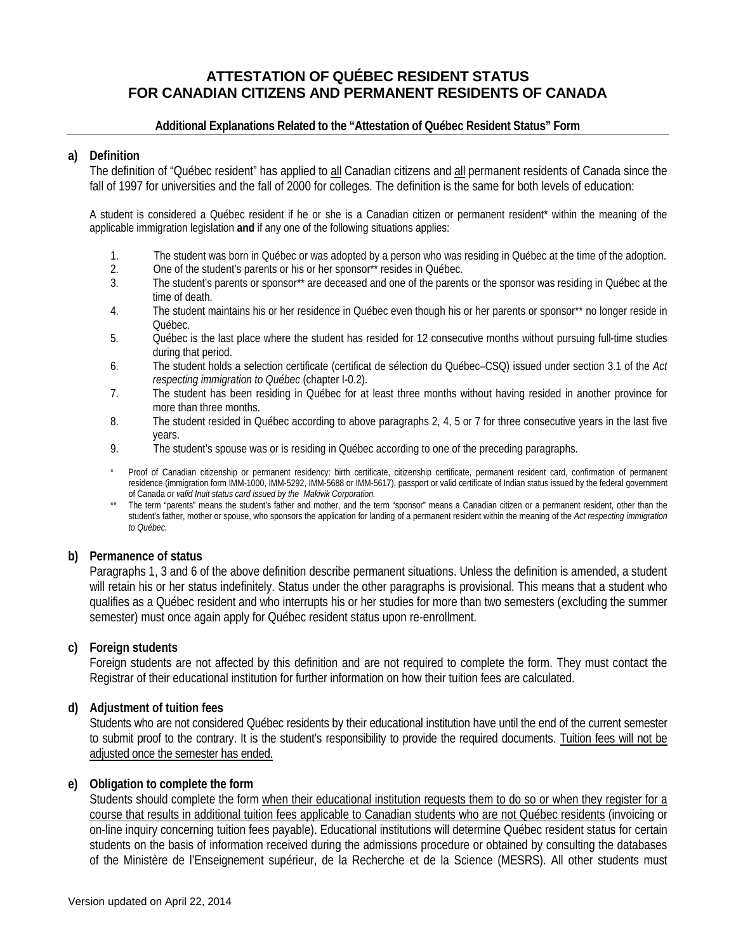## **ATTESTATION OF QUÉBEC RESIDENT STATUS FOR CANADIAN CITIZENS AND PERMANENT RESIDENTS OF CANADA**

#### **Additional Explanations Related to the "Attestation of Québec Resident Status" Form**

#### **a) Definition**

The definition of "Québec resident" has applied to all Canadian citizens and all permanent residents of Canada since the fall of 1997 for universities and the fall of 2000 for colleges. The definition is the same for both levels of education:

A student is considered a Québec resident if he or she is a Canadian citizen or permanent resident\* within the meaning of the applicable immigration legislation **and** if any one of the following situations applies:

- 1. The student was born in Québec or was adopted by a person who was residing in Québec at the time of the adoption.
- 2. One of the student's parents or his or her sponsor\*\* resides in Québec.
- 3. The student's parents or sponsor\*\* are deceased and one of the parents or the sponsor was residing in Québec at the time of death.
- 4. The student maintains his or her residence in Québec even though his or her parents or sponsor\*\* no longer reside in Québec.
- 5. Québec is the last place where the student has resided for 12 consecutive months without pursuing full-time studies during that period.
- 6. The student holds a selection certificate (certificat de sélection du Québec–CSQ) issued under section 3.1 of the *Act respecting immigration to Québec* (chapter I-0.2).
- 7. The student has been residing in Québec for at least three months without having resided in another province for more than three months.
- 8. The student resided in Québec according to above paragraphs 2, 4, 5 or 7 for three consecutive years in the last five years.
- 9. The student's spouse was or is residing in Québec according to one of the preceding paragraphs.
- Proof of Canadian citizenship or permanent residency: birth certificate, citizenship certificate, permanent resident card, confirmation of permanent residence (immigration form IMM-1000, IMM-5292, IMM-5688 or IMM-5617), passport or valid certificate of Indian status issued by the federal government of Canada *or valid Inuit status card issued by the Makivik Corporation.*
- \*\* The term "parents" means the student's father and mother, and the term "sponsor" means a Canadian citizen or a permanent resident, other than the student's father, mother or spouse, who sponsors the application for landing of a permanent resident within the meaning of the *Act respecting immigration to Québec.*

#### **b) Permanence of status**

Paragraphs 1, 3 and 6 of the above definition describe permanent situations. Unless the definition is amended, a student will retain his or her status indefinitely. Status under the other paragraphs is provisional. This means that a student who qualifies as a Québec resident and who interrupts his or her studies for more than two semesters (excluding the summer semester) must once again apply for Québec resident status upon re-enrollment.

#### **c) Foreign students**

Foreign students are not affected by this definition and are not required to complete the form. They must contact the Registrar of their educational institution for further information on how their tuition fees are calculated.

#### **d) Adjustment of tuition fees**

Students who are not considered Québec residents by their educational institution have until the end of the current semester to submit proof to the contrary. It is the student's responsibility to provide the required documents. Tuition fees will not be adjusted once the semester has ended.

#### **e) Obligation to complete the form**

Students should complete the form when their educational institution requests them to do so or when they register for a course that results in additional tuition fees applicable to Canadian students who are not Québec residents (invoicing or on-line inquiry concerning tuition fees payable). Educational institutions will determine Québec resident status for certain students on the basis of information received during the admissions procedure or obtained by consulting the databases of the Ministère de l'Enseignement supérieur, de la Recherche et de la Science (MESRS). All other students must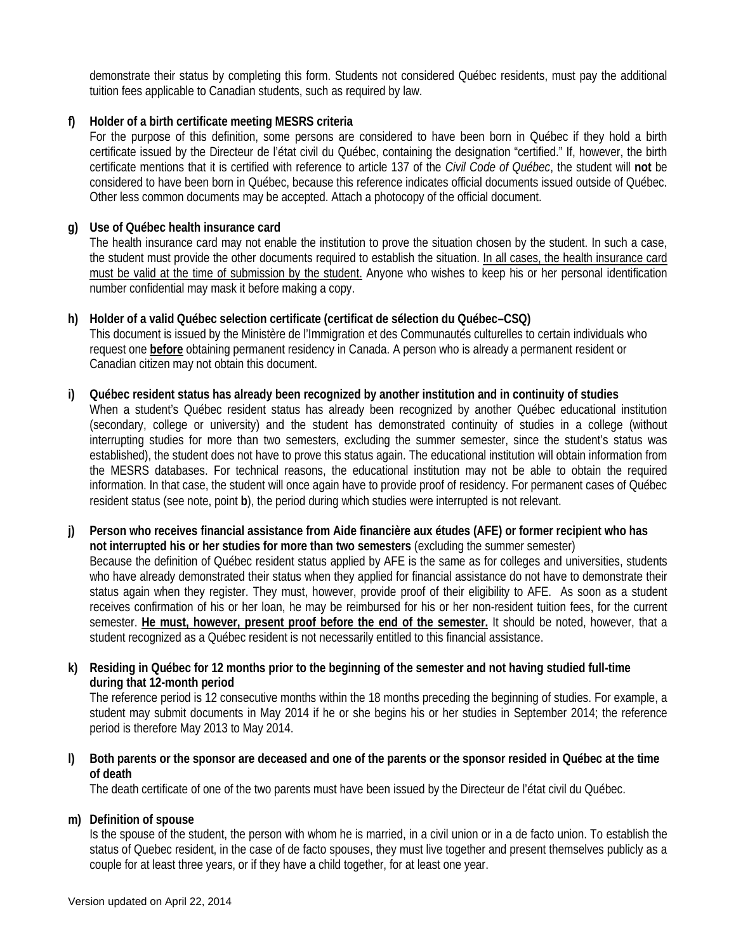demonstrate their status by completing this form. Students not considered Québec residents, must pay the additional tuition fees applicable to Canadian students, such as required by law.

### **f) Holder of a birth certificate meeting MESRS criteria**

For the purpose of this definition, some persons are considered to have been born in Québec if they hold a birth certificate issued by the Directeur de l'état civil du Québec, containing the designation "certified." If, however, the birth certificate mentions that it is certified with reference to article 137 of the *Civil Code of Québec*, the student will **not** be considered to have been born in Québec, because this reference indicates official documents issued outside of Québec. Other less common documents may be accepted. Attach a photocopy of the official document.

#### **g) Use of Québec health insurance card**

The health insurance card may not enable the institution to prove the situation chosen by the student. In such a case, the student must provide the other documents required to establish the situation. In all cases, the health insurance card must be valid at the time of submission by the student. Anyone who wishes to keep his or her personal identification number confidential may mask it before making a copy.

# **h) Holder of a valid Québec selection certificate (certificat de sélection du Québec–CSQ)**

This document is issued by the Ministère de l'Immigration et des Communautés culturelles to certain individuals who request one **before** obtaining permanent residency in Canada. A person who is already a permanent resident or Canadian citizen may not obtain this document.

#### **i) Québec resident status has already been recognized by another institution and in continuity of studies**

When a student's Québec resident status has already been recognized by another Québec educational institution (secondary, college or university) and the student has demonstrated continuity of studies in a college (without interrupting studies for more than two semesters, excluding the summer semester, since the student's status was established), the student does not have to prove this status again. The educational institution will obtain information from the MESRS databases. For technical reasons, the educational institution may not be able to obtain the required information. In that case, the student will once again have to provide proof of residency. For permanent cases of Québec resident status (see note, point **b**), the period during which studies were interrupted is not relevant.

**j) Person who receives financial assistance from Aide financière aux études (AFE) or former recipient who has not interrupted his or her studies for more than two semesters** (excluding the summer semester) Because the definition of Québec resident status applied by AFE is the same as for colleges and universities, students who have already demonstrated their status when they applied for financial assistance do not have to demonstrate their status again when they register. They must, however, provide proof of their eligibility to AFE. As soon as a student receives confirmation of his or her loan, he may be reimbursed for his or her non-resident tuition fees, for the current semester. **He must, however, present proof before the end of the semester.** It should be noted, however, that a student recognized as a Québec resident is not necessarily entitled to this financial assistance.

## **k) Residing in Québec for 12 months prior to the beginning of the semester and not having studied full-time during that 12-month period**

The reference period is 12 consecutive months within the 18 months preceding the beginning of studies. For example, a student may submit documents in May 2014 if he or she begins his or her studies in September 2014; the reference period is therefore May 2013 to May 2014.

## **l) Both parents or the sponsor are deceased and one of the parents or the sponsor resided in Québec at the time of death**

The death certificate of one of the two parents must have been issued by the Directeur de l'état civil du Québec.

#### **m) Definition of spouse**

Is the spouse of the student, the person with whom he is married, in a civil union or in a de facto union. To establish the status of Quebec resident, in the case of de facto spouses, they must live together and present themselves publicly as a couple for at least three years, or if they have a child together, for at least one year.